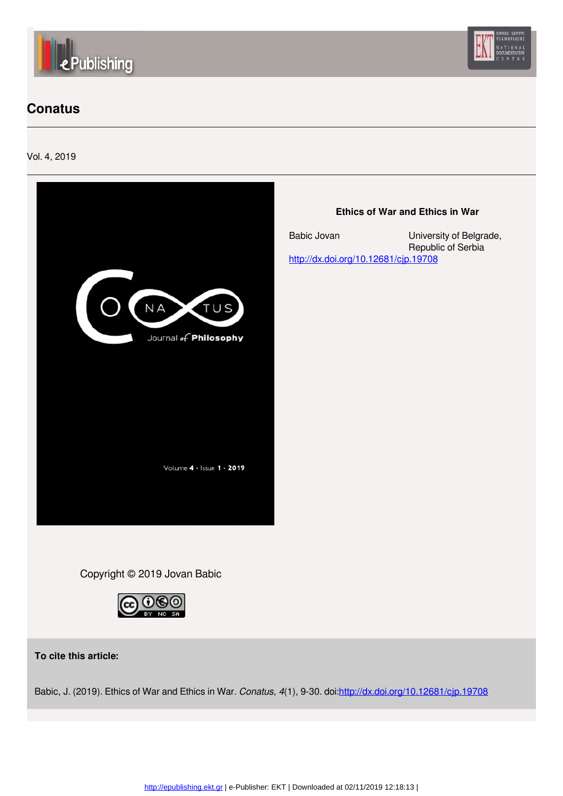



## **[C](http://epublishing.ekt.gr)onatus**

Vol. 4, 2019



### **Ethics of War and Ethics in War**

[Babic Jovan](http://epublishing.ekt.gr/el/author/Jovan-Babic) University of Belgrade, Republic of Serbia <http://dx.doi.org/10.12681/cjp.19708>

Copyright © 2019 Jovan Babic



**To cite this article:**

Babic, J. (2019). Ethics of War and Ethics in War. *Conatus, 4*(1), 9-30. doi:<http://dx.doi.org/10.12681/cjp.19708>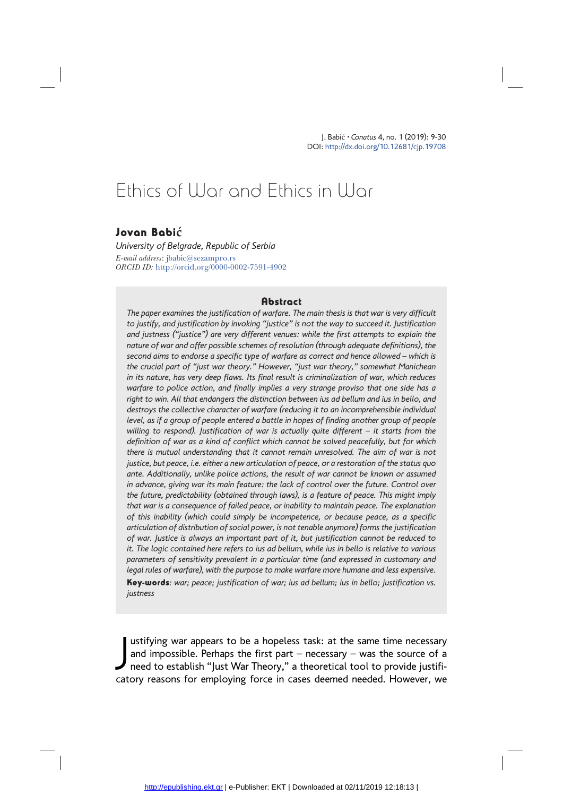J. Babi<sup>ć</sup> .*Conatus* 4, no. 1 (2019): 9-30 DOI: http://dx.doi.org/10.12681/cjp.19708

# Ethics of War and Ethics in War

#### Jovan Babi**ć**

*University of Belgrade, Republic of Serbia E-mail address*: jbabic@sezampro.rs *ORCID ID:* http://orcid.org/0000-0002-7591-4902

#### **Abstract**

*The paper examines the justification of warfare. The main thesis is that war is very difficult to justify, and justification by invoking "justice" is not the way to succeed it. Justification and justness ("justice") are very different venues: while the first attempts to explain the nature of war and offer possible schemes of resolution (through adequate definitions), the second aims to endorse a specific type of warfare as correct and hence allowed – which is the crucial part of "just war theory." However, "just war theory," somewhat Manichean in its nature, has very deep flaws. Its final result is criminalization of war, which reduces warfare to police action, and finally implies a very strange proviso that one side has a right to win. All that endangers the distinction between ius ad bellum and ius in bello, and destroys the collective character of warfare (reducing it to an incomprehensible individual level, as if a group of people entered a battle in hopes of finding another group of people willing to respond). Justification of war is actually quite different – it starts from the definition of war as a kind of conflict which cannot be solved peacefully, but for which there is mutual understanding that it cannot remain unresolved. The aim of war is not justice, but peace, i.e. either a new articulation of peace, or a restoration of the status quo ante. Additionally, unlike police actions, the result of war cannot be known or assumed in advance, giving war its main feature: the lack of control over the future. Control over the future, predictability (obtained through laws), is a feature of peace. This might imply that war is a consequence of failed peace, or inability to maintain peace. The explanation of this inability (which could simply be incompetence, or because peace, as a specific articulation of distribution of social power, is not tenable anymore) forms the justification of war. Justice is always an important part of it, but justification cannot be reduced to it. The logic contained here refers to ius ad bellum, while ius in bello is relative to various parameters of sensitivity prevalent in a particular time (and expressed in customary and legal rules of warfare), with the purpose to make warfare more humane and less expensive.*  Key-words*: war; peace; justification of war; ius ad bellum; ius in bello; justification vs. justness*

ustifying war appears to be a hopeless task: at the same time necessary<br>and impossible. Perhaps the first part – necessary – was the source of a<br>need to establish "Just War Theory," a theoretical tool to provide justifi-<br>s ustifying war appears to be a hopeless task: at the same time necessary and impossible. Perhaps the first part – necessary – was the source of a catory reasons for employing force in cases deemed needed. However, we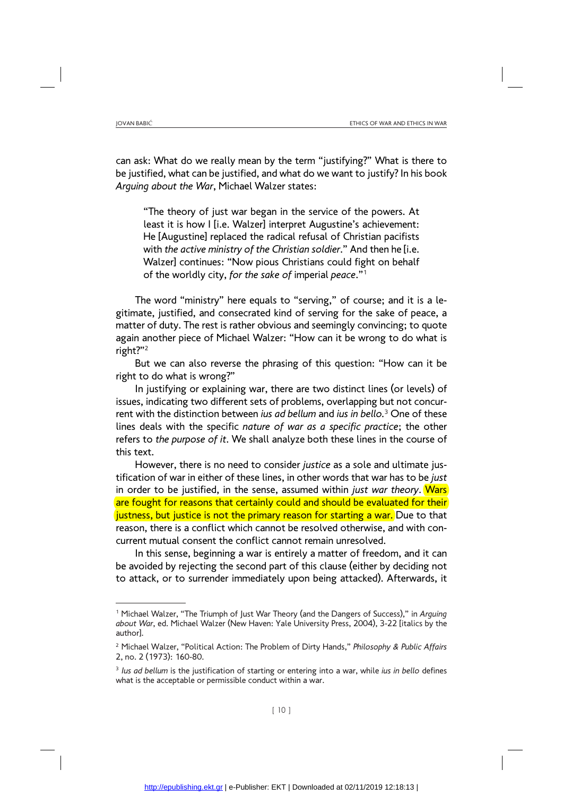can ask: What do we really mean by the term "justifying?" What is there to be justified, what can be justified, and what do we want to justify? In his book *Arguing about the War*, Michael Walzer states:

"The theory of just war began in the service of the powers. At least it is how I [i.e. Walzer] interpret Augustine's achievement: He [Augustine] replaced the radical refusal of Christian pacifists with *the active ministry of the Christian soldier*." And then he [i.e. Walzer] continues: "Now pious Christians could fight on behalf of the worldly city, *for the sake of* imperial *peace*."1

The word "ministry" here equals to "serving," of course; and it is a legitimate, justified, and consecrated kind of serving for the sake of peace, a matter of duty. The rest is rather obvious and seemingly convincing; to quote again another piece of Michael Walzer: "How can it be wrong to do what is right?"2

But we can also reverse the phrasing of this question: "How can it be right to do what is wrong?"

In justifying or explaining war, there are two distinct lines (or levels) of issues, indicating two different sets of problems, overlapping but not concurrent with the distinction between *ius ad bellum* and *ius in bello.*<sup>3</sup> One of these lines deals with the specific *nature of war as a specific practice*; the other refers to *the purpose of it*. We shall analyze both these lines in the course of this text.

However, there is no need to consider *justice* as a sole and ultimate justification of war in either of these lines, in other words that war has to be *just*  in order to be justified, in the sense, assumed within *just war theory*. Wars are fought for reasons that certainly could and should be evaluated for their justness, but justice is not the primary reason for starting a war. Due to that reason, there is a conflict which cannot be resolved otherwise, and with concurrent mutual consent the conflict cannot remain unresolved.

In this sense, beginning a war is entirely a matter of freedom, and it can be avoided by rejecting the second part of this clause (either by deciding not to attack, or to surrender immediately upon being attacked). Afterwards, it

<sup>1</sup> Michael Walzer, "The Triumph of Just War Theory (and the Dangers of Success)," in *Arguing about War*, ed. Michael Walzer (New Haven: Yale University Press, 2004), 3-22 [italics by the author].

<sup>2</sup> Michael Walzer, "Political Action: The Problem of Dirty Hands," *Philosophy & Public Affairs*  2, no. 2 (1973): 160-80.

<sup>3</sup> *Ius ad bellum* is the justification of starting or entering into a war, while *ius in bello* defines what is the acceptable or permissible conduct within a war.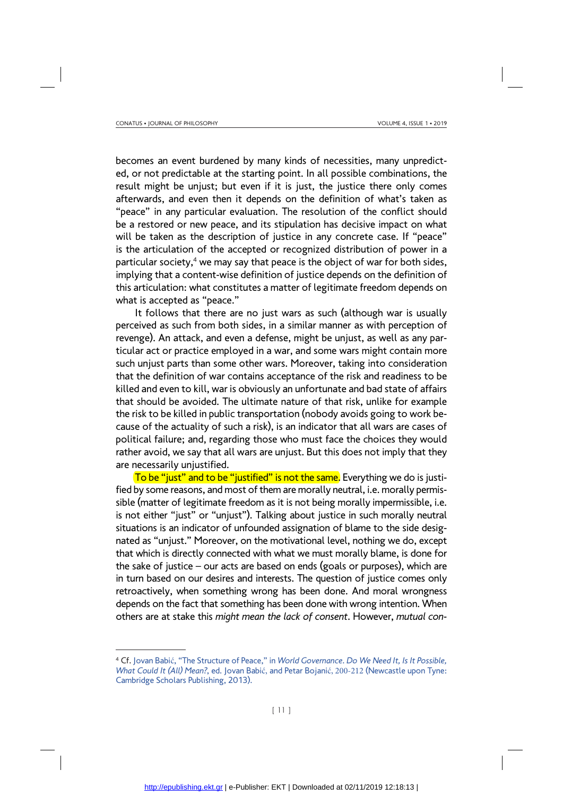becomes an event burdened by many kinds of necessities, many unpredicted, or not predictable at the starting point. In all possible combinations, the result might be unjust; but even if it is just, the justice there only comes afterwards, and even then it depends on the definition of what's taken as "peace" in any particular evaluation. The resolution of the conflict should be a restored or new peace, and its stipulation has decisive impact on what will be taken as the description of justice in any concrete case. If "peace" is the articulation of the accepted or recognized distribution of power in a particular society,<sup>4</sup> we may say that peace is the object of war for both sides, implying that a content-wise definition of justice depends on the definition of this articulation: what constitutes a matter of legitimate freedom depends on what is accepted as "peace."

It follows that there are no just wars as such (although war is usually perceived as such from both sides, in a similar manner as with perception of revenge). An attack, and even a defense, might be unjust, as well as any particular act or practice employed in a war, and some wars might contain more such unjust parts than some other wars. Moreover, taking into consideration that the definition of war contains acceptance of the risk and readiness to be killed and even to kill, war is obviously an unfortunate and bad state of affairs that should be avoided. The ultimate nature of that risk, unlike for example the risk to be killed in public transportation (nobody avoids going to work because of the actuality of such a risk), is an indicator that all wars are cases of political failure; and, regarding those who must face the choices they would rather avoid, we say that all wars are unjust. But this does not imply that they are necessarily unjustified.

To be "just" and to be "justified" is not the same. Everything we do is justified by some reasons, and most of them are morally neutral, i.e. morally permissible (matter of legitimate freedom as it is not being morally impermissible, i.e. is not either "just" or "unjust"). Talking about justice in such morally neutral situations is an indicator of unfounded assignation of blame to the side designated as "unjust." Moreover, on the motivational level, nothing we do, except that which is directly connected with what we must morally blame, is done for the sake of justice – our acts are based on ends (goals or purposes), which are in turn based on our desires and interests. The question of justice comes only retroactively, when something wrong has been done. And moral wrongness depends on the fact that something has been done with wrong intention. When others are at stake this *might mean the lack of consent*. However, *mutual con-*

<sup>4</sup> Cf. Jovan Babić, "The Structure of Peace," in *World Governance*. *Do We Need It, Is It Possible, What Could It (All) Mean?*, ed. Jovan Babić, and Petar Bojanić, 200-212 (Newcastle upon Tyne: Cambridge Scholars Publishing, 2013).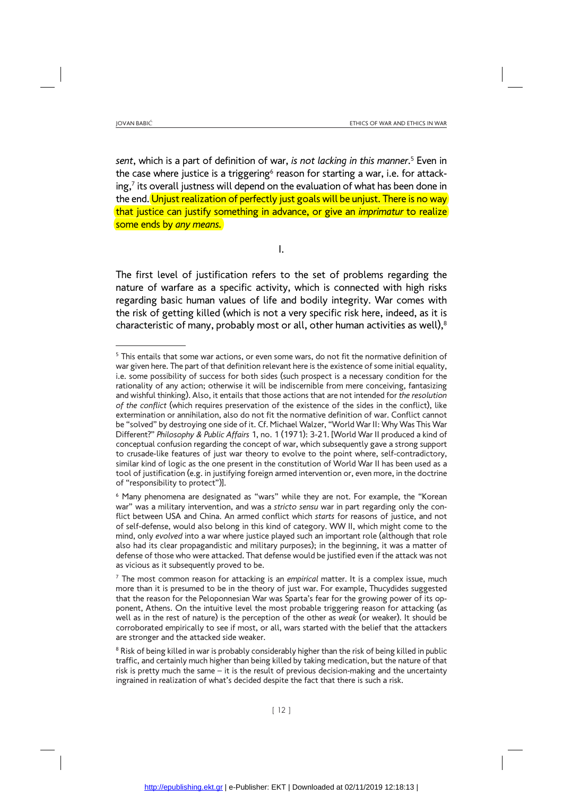*sent*, which is a part of definition of war, *is not lacking in this manner*. 5 Even in the case where justice is a triggering<sup>6</sup> reason for starting a war, i.e. for attacking, $7$  its overall justness will depend on the evaluation of what has been done in the end. Unjust realization of perfectly just goals will be unjust. There is no way that justice can justify something in advance, or give an *imprimatur* to realize some ends by *any means.*

I.

The first level of justification refers to the set of problems regarding the nature of warfare as a specific activity, which is connected with high risks regarding basic human values of life and bodily integrity. War comes with the risk of getting killed (which is not a very specific risk here, indeed, as it is characteristic of many, probably most or all, other human activities as well), $8$ 

<sup>&</sup>lt;sup>5</sup> This entails that some war actions, or even some wars, do not fit the normative definition of war given here. The part of that definition relevant here is the existence of some initial equality, i.e. some possibility of success for both sides (such prospect is a necessary condition for the rationality of any action; otherwise it will be indiscernible from mere conceiving, fantasizing and wishful thinking). Also, it entails that those actions that are not intended for *the resolution of the conflict* (which requires preservation of the existence of the sides in the conflict), like extermination or annihilation, also do not fit the normative definition of war. Conflict cannot be "solved" by destroying one side of it. Cf. Michael Walzer, "World War II: Why Was This War Different?" *Philosophy & Public Affairs* 1, no. 1 (1971): 3-21. [World War II produced a kind of conceptual confusion regarding the concept of war, which subsequently gave a strong support to crusade-like features of just war theory to evolve to the point where, self-contradictory, similar kind of logic as the one present in the constitution of World War II has been used as a tool of justification (e.g. in justifying foreign armed intervention or, even more, in the doctrine of "responsibility to protect")].

<sup>&</sup>lt;sup>6</sup> Many phenomena are designated as "wars" while they are not. For example, the "Korean war" was a military intervention, and was a *stricto sensu* war in part regarding only the conflict between USA and China. An armed conflict which *starts* for reasons of justice, and not of self-defense, would also belong in this kind of category. WW II, which might come to the mind, only *evolved* into a war where justice played such an important role (although that role also had its clear propagandistic and military purposes); in the beginning, it was a matter of defense of those who were attacked. That defense would be justified even if the attack was not as vicious as it subsequently proved to be.

<sup>7</sup> The most common reason for attacking is an *empirical* matter. It is a complex issue, much more than it is presumed to be in the theory of just war. For example, Thucydides suggested that the reason for the Peloponnesian War was Sparta's fear for the growing power of its opponent, Athens. On the intuitive level the most probable triggering reason for attacking (as well as in the rest of nature) is the perception of the other as *weak* (or weaker). It should be corroborated empirically to see if most, or all, wars started with the belief that the attackers are stronger and the attacked side weaker.

<sup>&</sup>lt;sup>8</sup> Risk of being killed in war is probably considerably higher than the risk of being killed in public traffic, and certainly much higher than being killed by taking medication, but the nature of that risk is pretty much the same – it is the result of previous decision-making and the uncertainty ingrained in realization of what's decided despite the fact that there is such a risk.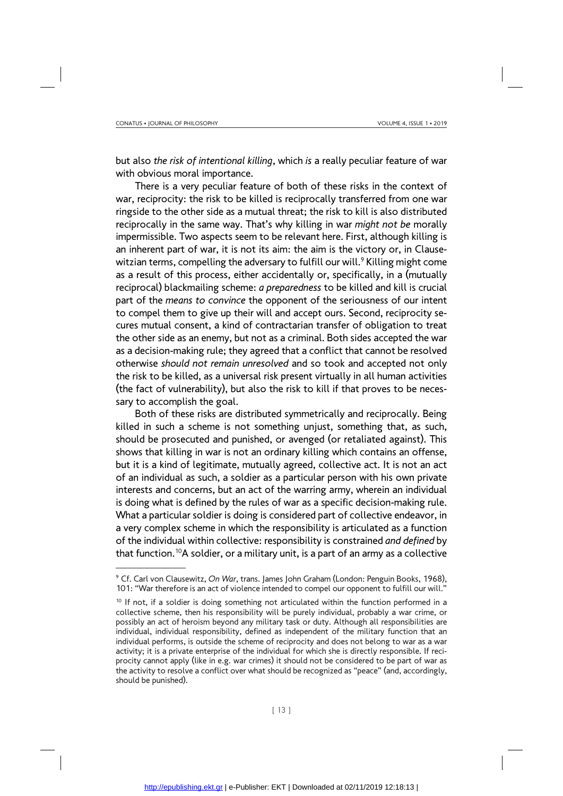but also *the risk of intentional killing*, which *is* a really peculiar feature of war with obvious moral importance.

There is a very peculiar feature of both of these risks in the context of war, reciprocity: the risk to be killed is reciprocally transferred from one war ringside to the other side as a mutual threat; the risk to kill is also distributed reciprocally in the same way. That's why killing in war *might not be* morally impermissible. Two aspects seem to be relevant here. First, although killing is an inherent part of war, it is not its aim: the aim is the victory or, in Clausewitzian terms, compelling the adversary to fulfill our will.<sup>9</sup> Killing might come as a result of this process, either accidentally or, specifically, in a (mutually reciprocal) blackmailing scheme: *a preparedness* to be killed and kill is crucial part of the *means to convince* the opponent of the seriousness of our intent to compel them to give up their will and accept ours. Second, reciprocity secures mutual consent, a kind of contractarian transfer of obligation to treat the other side as an enemy, but not as a criminal. Both sides accepted the war as a decision-making rule; they agreed that a conflict that cannot be resolved otherwise *should not remain unresolved* and so took and accepted not only the risk to be killed, as a universal risk present virtually in all human activities (the fact of vulnerability), but also the risk to kill if that proves to be necessary to accomplish the goal.

Both of these risks are distributed symmetrically and reciprocally. Being killed in such a scheme is not something unjust, something that, as such, should be prosecuted and punished, or avenged (or retaliated against). This shows that killing in war is not an ordinary killing which contains an offense, but it is a kind of legitimate, mutually agreed, collective act. It is not an act of an individual as such, a soldier as a particular person with his own private interests and concerns, but an act of the warring army, wherein an individual is doing what is defined by the rules of war as a specific decision-making rule. What a particular soldier is doing is considered part of collective endeavor, in a very complex scheme in which the responsibility is articulated as a function of the individual within collective: responsibility is constrained *and defined* by that function.<sup>10</sup>A soldier, or a military unit, is a part of an army as a collective

<sup>9</sup> Cf. Carl von Clausewitz, *On War*, trans. James John Graham (London: Penguin Books, 1968), 101: "War therefore is an act of violence intended to compel our opponent to fulfill our will."

 $10$  If not, if a soldier is doing something not articulated within the function performed in a collective scheme, then his responsibility will be purely individual, probably a war crime, or possibly an act of heroism beyond any military task or duty. Although all responsibilities are individual, individual responsibility, defined as independent of the military function that an individual performs, is outside the scheme of reciprocity and does not belong to war as a war activity; it is a private enterprise of the individual for which she is directly responsible. If reciprocity cannot apply (like in e.g. war crimes) it should not be considered to be part of war as the activity to resolve a conflict over what should be recognized as "peace" (and, accordingly, should be punished).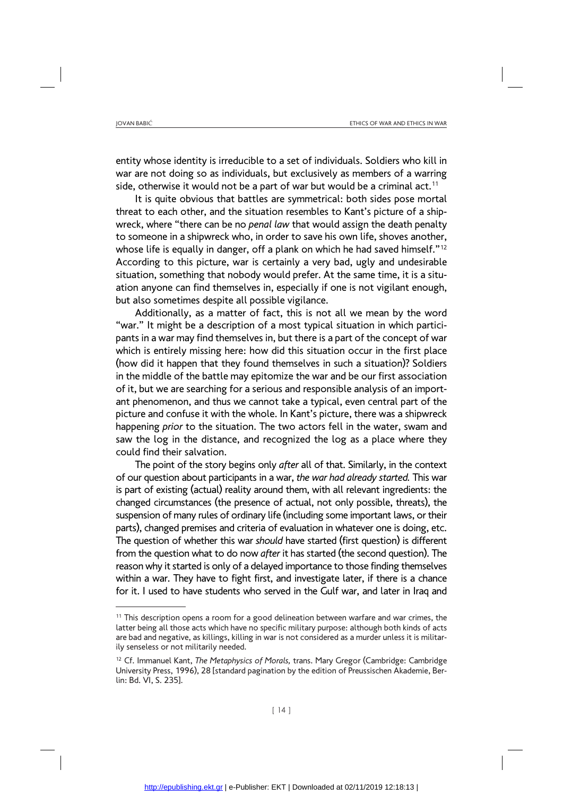entity whose identity is irreducible to a set of individuals. Soldiers who kill in war are not doing so as individuals, but exclusively as members of a warring side, otherwise it would not be a part of war but would be a criminal act.<sup>11</sup>

It is quite obvious that battles are symmetrical: both sides pose mortal threat to each other, and the situation resembles to Kant's picture of a shipwreck, where "there can be no *penal law* that would assign the death penalty to someone in a shipwreck who, in order to save his own life, shoves another, whose life is equally in danger, off a plank on which he had saved himself."<sup>12</sup> According to this picture, war is certainly a very bad, ugly and undesirable situation, something that nobody would prefer. At the same time, it is a situation anyone can find themselves in, especially if one is not vigilant enough, but also sometimes despite all possible vigilance.

Additionally, as a matter of fact, this is not all we mean by the word "war." It might be a description of a most typical situation in which participants in a war may find themselves in, but there is a part of the concept of war which is entirely missing here: how did this situation occur in the first place (how did it happen that they found themselves in such a situation)? Soldiers in the middle of the battle may epitomize the war and be our first association of it, but we are searching for a serious and responsible analysis of an important phenomenon, and thus we cannot take a typical, even central part of the picture and confuse it with the whole. In Kant's picture, there was a shipwreck happening *prior* to the situation. The two actors fell in the water, swam and saw the log in the distance, and recognized the log as a place where they could find their salvation.

The point of the story begins only *after* all of that. Similarly, in the context of our question about participants in a war, *the war had already started.* This war is part of existing (actual) reality around them, with all relevant ingredients: the changed circumstances (the presence of actual, not only possible, threats), the suspension of many rules of ordinary life (including some important laws, or their parts), changed premises and criteria of evaluation in whatever one is doing, etc. The question of whether this war *should* have started (first question) is different from the question what to do now *after* it has started (the second question). The reason why it started is only of a delayed importance to those finding themselves within a war. They have to fight first, and investigate later, if there is a chance for it. I used to have students who served in the Gulf war, and later in Iraq and

 $11$  This description opens a room for a good delineation between warfare and war crimes, the latter being all those acts which have no specific military purpose: although both kinds of acts are bad and negative, as killings, killing in war is not considered as a murder unless it is militarily senseless or not militarily needed.

<sup>12</sup> Cf. Immanuel Kant, *The Metaphysics of Morals,* trans. Mary Gregor (Cambridge: Cambridge University Press, 1996), 28 [standard pagination by the edition of Preussischen Akademie, Berlin: Bd. VI, S. 235].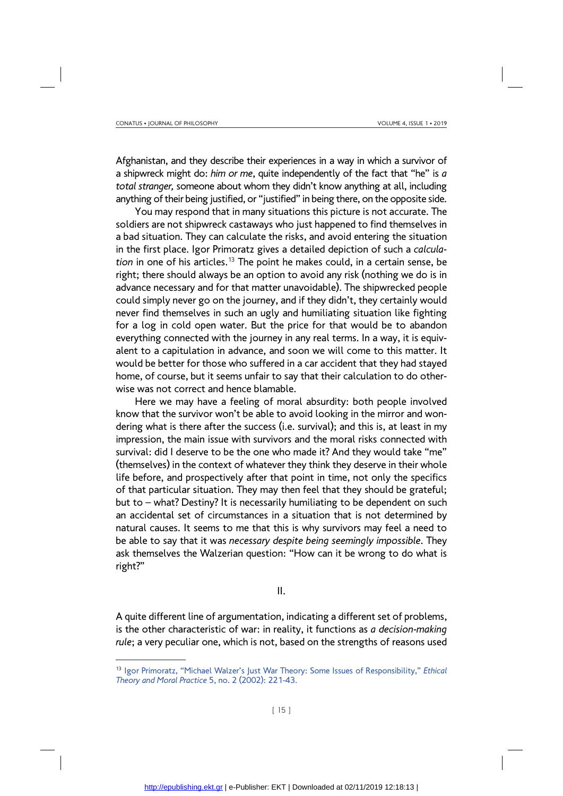Afghanistan, and they describe their experiences in a way in which a survivor of a shipwreck might do: *him or me*, quite independently of the fact that "he" is *a total stranger,* someone about whom they didn't know anything at all, including anything of their being justified, or "justified" in being there, on the opposite side.

You may respond that in many situations this picture is not accurate. The soldiers are not shipwreck castaways who just happened to find themselves in a bad situation. They can calculate the risks, and avoid entering the situation in the first place. Igor Primoratz gives a detailed depiction of such a *calculation* in one of his articles.13 The point he makes could, in a certain sense, be right; there should always be an option to avoid any risk (nothing we do is in advance necessary and for that matter unavoidable). The shipwrecked people could simply never go on the journey, and if they didn't, they certainly would never find themselves in such an ugly and humiliating situation like fighting for a log in cold open water. But the price for that would be to abandon everything connected with the journey in any real terms. In a way, it is equivalent to a capitulation in advance, and soon we will come to this matter. It would be better for those who suffered in a car accident that they had stayed home, of course, but it seems unfair to say that their calculation to do otherwise was not correct and hence blamable.

Here we may have a feeling of moral absurdity: both people involved know that the survivor won't be able to avoid looking in the mirror and wondering what is there after the success (i.e. survival); and this is, at least in my impression, the main issue with survivors and the moral risks connected with survival: did I deserve to be the one who made it? And they would take "me" (themselves) in the context of whatever they think they deserve in their whole life before, and prospectively after that point in time, not only the specifics of that particular situation. They may then feel that they should be grateful; but to – what? Destiny? It is necessarily humiliating to be dependent on such an accidental set of circumstances in a situation that is not determined by natural causes. It seems to me that this is why survivors may feel a need to be able to say that it was *necessary despite being seemingly impossible*. They ask themselves the Walzerian question: "How can it be wrong to do what is right?"

#### II.

A quite different line of argumentation, indicating a different set of problems, is the other characteristic of war: in reality, it functions as *a decision-making rule*; a very peculiar one, which is not, based on the strengths of reasons used

<sup>13</sup> Igor Primoratz, "Michael Walzer's Just War Theory: Some Issues of Responsibility," *Ethical Theory and Moral Practice* 5, no. 2 (2002): 221-43.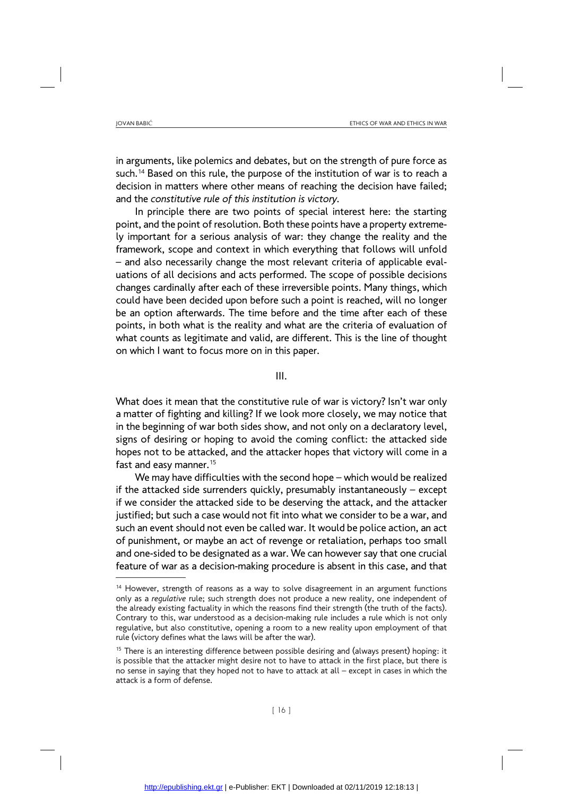in arguments, like polemics and debates, but on the strength of pure force as such.<sup>14</sup> Based on this rule, the purpose of the institution of war is to reach a decision in matters where other means of reaching the decision have failed; and the *constitutive rule of this institution is victory.* 

In principle there are two points of special interest here: the starting point, and the point of resolution. Both these points have a property extremely important for a serious analysis of war: they change the reality and the framework, scope and context in which everything that follows will unfold – and also necessarily change the most relevant criteria of applicable evaluations of all decisions and acts performed. The scope of possible decisions changes cardinally after each of these irreversible points. Many things, which could have been decided upon before such a point is reached, will no longer be an option afterwards. The time before and the time after each of these points, in both what is the reality and what are the criteria of evaluation of what counts as legitimate and valid, are different. This is the line of thought on which I want to focus more on in this paper.

III.

What does it mean that the constitutive rule of war is victory? Isn't war only a matter of fighting and killing? If we look more closely, we may notice that in the beginning of war both sides show, and not only on a declaratory level, signs of desiring or hoping to avoid the coming conflict: the attacked side hopes not to be attacked, and the attacker hopes that victory will come in a fast and easy manner.<sup>15</sup>

We may have difficulties with the second hope – which would be realized if the attacked side surrenders quickly, presumably instantaneously – except if we consider the attacked side to be deserving the attack, and the attacker justified; but such a case would not fit into what we consider to be a war, and such an event should not even be called war. It would be police action, an act of punishment, or maybe an act of revenge or retaliation, perhaps too small and one-sided to be designated as a war. We can however say that one crucial feature of war as a decision-making procedure is absent in this case, and that

<sup>&</sup>lt;sup>14</sup> However, strength of reasons as a way to solve disagreement in an argument functions only as a *regulative* rule; such strength does not produce a new reality, one independent of the already existing factuality in which the reasons find their strength (the truth of the facts). Contrary to this, war understood as a decision-making rule includes a rule which is not only regulative, but also constitutive, opening a room to a new reality upon employment of that rule (victory defines what the laws will be after the war).

<sup>&</sup>lt;sup>15</sup> There is an interesting difference between possible desiring and (always present) hoping: it is possible that the attacker might desire not to have to attack in the first place, but there is no sense in saying that they hoped not to have to attack at all – except in cases in which the attack is a form of defense.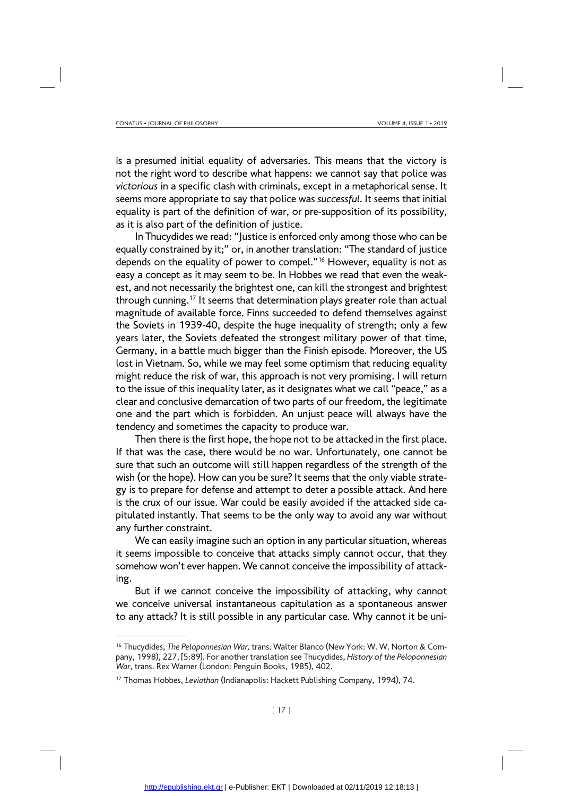is a presumed initial equality of adversaries. This means that the victory is not the right word to describe what happens: we cannot say that police was *victorious* in a specific clash with criminals, except in a metaphorical sense. It seems more appropriate to say that police was *successful*. It seems that initial equality is part of the definition of war, or pre-supposition of its possibility, as it is also part of the definition of justice.

In Thucydides we read: "Justice is enforced only among those who can be equally constrained by it;" or, in another translation: "The standard of justice depends on the equality of power to compel."<sup>16</sup> However, equality is not as easy a concept as it may seem to be. In Hobbes we read that even the weakest, and not necessarily the brightest one, can kill the strongest and brightest through cunning.<sup>17</sup> It seems that determination plays greater role than actual magnitude of available force. Finns succeeded to defend themselves against the Soviets in 1939-40, despite the huge inequality of strength; only a few years later, the Soviets defeated the strongest military power of that time, Germany, in a battle much bigger than the Finish episode. Moreover, the US lost in Vietnam. So, while we may feel some optimism that reducing equality might reduce the risk of war, this approach is not very promising. I will return to the issue of this inequality later, as it designates what we call "peace," as a clear and conclusive demarcation of two parts of our freedom, the legitimate one and the part which is forbidden. An unjust peace will always have the tendency and sometimes the capacity to produce war.

Then there is the first hope, the hope not to be attacked in the first place. If that was the case, there would be no war. Unfortunately, one cannot be sure that such an outcome will still happen regardless of the strength of the wish (or the hope). How can you be sure? It seems that the only viable strategy is to prepare for defense and attempt to deter a possible attack. And here is the crux of our issue. War could be easily avoided if the attacked side capitulated instantly. That seems to be the only way to avoid any war without any further constraint.

We can easily imagine such an option in any particular situation, whereas it seems impossible to conceive that attacks simply cannot occur, that they somehow won't ever happen. We cannot conceive the impossibility of attacking.

But if we cannot conceive the impossibility of attacking, why cannot we conceive universal instantaneous capitulation as a spontaneous answer to any attack? It is still possible in any particular case. Why cannot it be uni-

<sup>16</sup> Thucydides, *The Peloponnesian War,* trans. Walter Blanco (New York: W. W. Norton & Company, 1998), 227, [5:89]. For another translation see Thucydides, *History of the Peloponnesian War*, trans. Rex Warner (London: Penguin Books, 1985), 402.

<sup>17</sup> Thomas Hobbes, *Leviathan* (Indianapolis: Hackett Publishing Company, 1994), 74.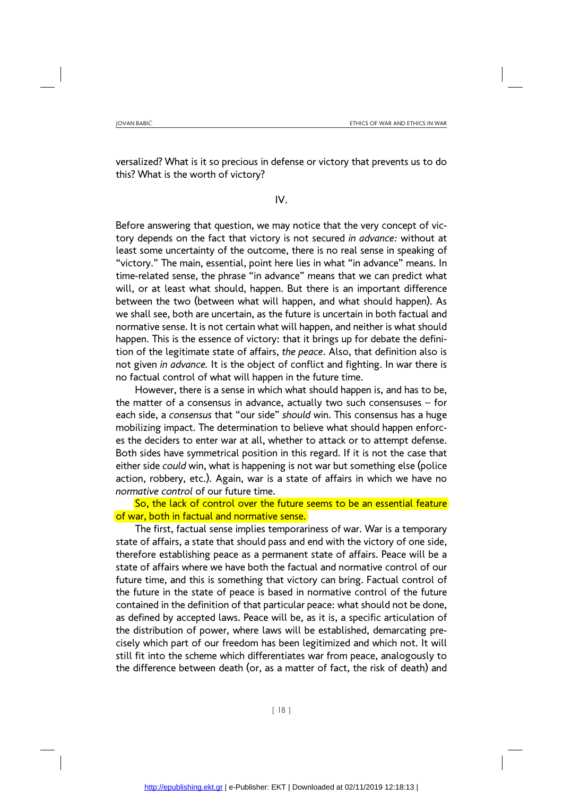versalized? What is it so precious in defense or victory that prevents us to do this? What is the worth of victory?

#### IV.

Before answering that question, we may notice that the very concept of victory depends on the fact that victory is not secured *in advance:* without at least some uncertainty of the outcome, there is no real sense in speaking of "victory." The main, essential, point here lies in what "in advance" means. In time-related sense, the phrase "in advance" means that we can predict what will, or at least what should, happen. But there is an important difference between the two (between what will happen, and what should happen). As we shall see, both are uncertain, as the future is uncertain in both factual and normative sense. It is not certain what will happen, and neither is what should happen. This is the essence of victory: that it brings up for debate the definition of the legitimate state of affairs, *the peace*. Also, that definition also is not given *in advance.* It is the object of conflict and fighting. In war there is no factual control of what will happen in the future time.

However, there is a sense in which what should happen is, and has to be, the matter of a consensus in advance, actually two such consensuses – for each side, a *consensus* that "our side" *should* win. This consensus has a huge mobilizing impact. The determination to believe what should happen enforces the deciders to enter war at all, whether to attack or to attempt defense. Both sides have symmetrical position in this regard. If it is not the case that either side *could* win, what is happening is not war but something else (police action, robbery, etc.). Again, war is a state of affairs in which we have no *normative control* of our future time.

So, the lack of control over the future seems to be an essential feature of war, both in factual and normative sense.

The first, factual sense implies temporariness of war. War is a temporary state of affairs, a state that should pass and end with the victory of one side, therefore establishing peace as a permanent state of affairs. Peace will be a state of affairs where we have both the factual and normative control of our future time, and this is something that victory can bring. Factual control of the future in the state of peace is based in normative control of the future contained in the definition of that particular peace: what should not be done, as defined by accepted laws. Peace will be, as it is, a specific articulation of the distribution of power, where laws will be established, demarcating precisely which part of our freedom has been legitimized and which not. It will still fit into the scheme which differentiates war from peace, analogously to the difference between death (or, as a matter of fact, the risk of death) and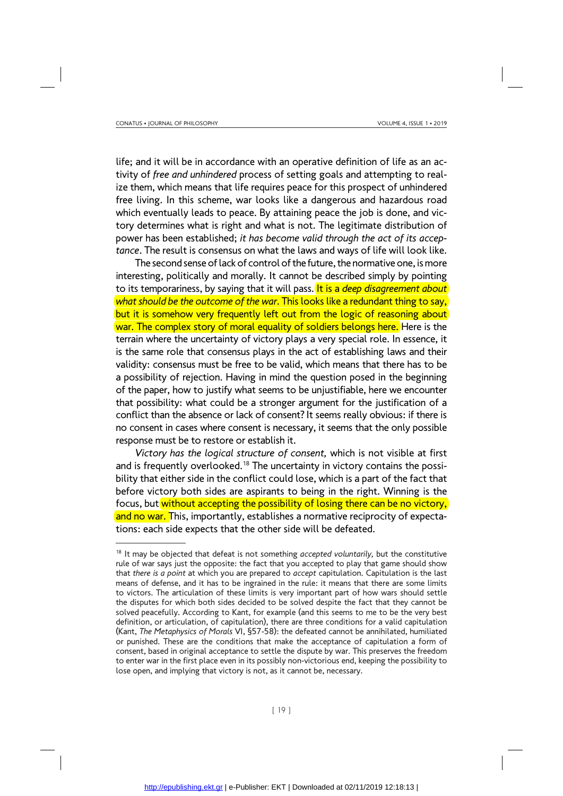life; and it will be in accordance with an operative definition of life as an activity of *free and unhindered* process of setting goals and attempting to realize them, which means that life requires peace for this prospect of unhindered free living. In this scheme, war looks like a dangerous and hazardous road which eventually leads to peace. By attaining peace the job is done, and victory determines what is right and what is not. The legitimate distribution of power has been established; *it has become valid through the act of its acceptance*. The result is consensus on what the laws and ways of life will look like.

The second sense of lack of control of the future, the normative one, is more interesting, politically and morally. It cannot be described simply by pointing to its temporariness, by saying that it will pass. It is a *deep disagreement about what should be the outcome of the war*. This looks like a redundant thing to say, but it is somehow very frequently left out from the logic of reasoning about war. The complex story of moral equality of soldiers belongs here. Here is the terrain where the uncertainty of victory plays a very special role. In essence, it is the same role that consensus plays in the act of establishing laws and their validity: consensus must be free to be valid, which means that there has to be a possibility of rejection. Having in mind the question posed in the beginning of the paper, how to justify what seems to be unjustifiable, here we encounter that possibility: what could be a stronger argument for the justification of a conflict than the absence or lack of consent? It seems really obvious: if there is no consent in cases where consent is necessary, it seems that the only possible response must be to restore or establish it.

*Victory has the logical structure of consent,* which is not visible at first and is frequently overlooked.<sup>18</sup> The uncertainty in victory contains the possibility that either side in the conflict could lose, which is a part of the fact that before victory both sides are aspirants to being in the right. Winning is the focus, but without accepting the possibility of losing there can be no victory, and no war. This, importantly, establishes a normative reciprocity of expectations: each side expects that the other side will be defeated.

<sup>&</sup>lt;sup>18</sup> It may be objected that defeat is not something *accepted voluntarily*, but the constitutive rule of war says just the opposite: the fact that you accepted to play that game should show that *there is a point* at which you are prepared to *accept* capitulation. Capitulation is the last means of defense, and it has to be ingrained in the rule: it means that there are some limits to victors. The articulation of these limits is very important part of how wars should settle the disputes for which both sides decided to be solved despite the fact that they cannot be solved peacefully. According to Kant, for example (and this seems to me to be the very best definition, or articulation, of capitulation), there are three conditions for a valid capitulation (Kant, *The Metaphysics of Morals* VI, §57-58): the defeated cannot be annihilated, humiliated or punished. These are the conditions that make the acceptance of capitulation a form of consent, based in original acceptance to settle the dispute by war. This preserves the freedom to enter war in the first place even in its possibly non-victorious end, keeping the possibility to lose open, and implying that victory is not, as it cannot be, necessary.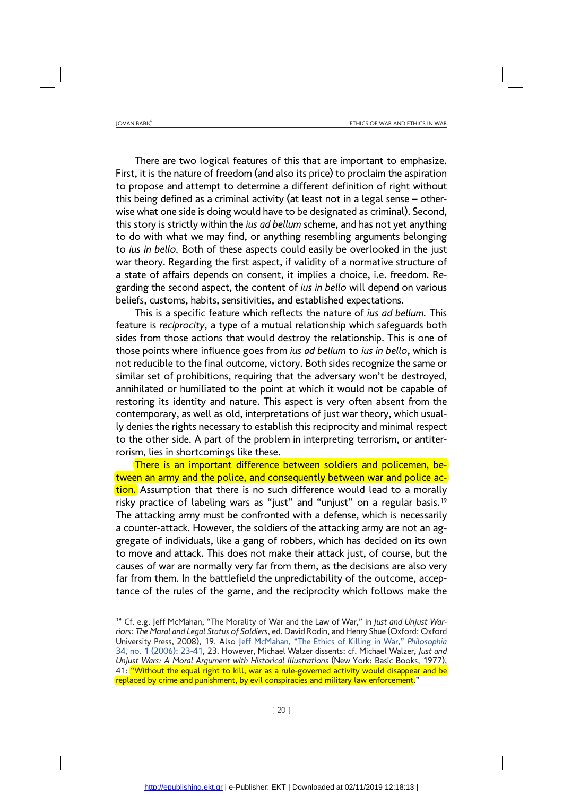There are two logical features of this that are important to emphasize. First, it is the nature of freedom (and also its price) to proclaim the aspiration to propose and attempt to determine a different definition of right without this being defined as a criminal activity (at least not in a legal sense – otherwise what one side is doing would have to be designated as criminal). Second, this story is strictly within the *ius ad bellum* scheme, and has not yet anything to do with what we may find, or anything resembling arguments belonging to *ius in bello.* Both of these aspects could easily be overlooked in the just war theory. Regarding the first aspect, if validity of a normative structure of a state of affairs depends on consent, it implies a choice, i.e. freedom. Regarding the second aspect, the content of *ius in bello* will depend on various beliefs, customs, habits, sensitivities, and established expectations.

This is a specific feature which reflects the nature of *ius ad bellum.* This feature is *reciprocity*, a type of a mutual relationship which safeguards both sides from those actions that would destroy the relationship. This is one of those points where influence goes from *ius ad bellum* to *ius in bello*, which is not reducible to the final outcome, victory. Both sides recognize the same or similar set of prohibitions, requiring that the adversary won't be destroyed, annihilated or humiliated to the point at which it would not be capable of restoring its identity and nature. This aspect is very often absent from the contemporary, as well as old, interpretations of just war theory, which usually denies the rights necessary to establish this reciprocity and minimal respect to the other side. A part of the problem in interpreting terrorism, or antiterrorism, lies in shortcomings like these.

There is an important difference between soldiers and policemen, between an army and the police, and consequently between war and police action. Assumption that there is no such difference would lead to a morally risky practice of labeling wars as "just" and "unjust" on a regular basis.<sup>19</sup> The attacking army must be confronted with a defense, which is necessarily a counter-attack. However, the soldiers of the attacking army are not an aggregate of individuals, like a gang of robbers, which has decided on its own to move and attack. This does not make their attack just, of course, but the causes of war are normally very far from them, as the decisions are also very far from them. In the battlefield the unpredictability of the outcome, acceptance of the rules of the game, and the reciprocity which follows make the

<sup>19</sup> Cf. e.g. Jeff McMahan, "The Morality of War and the Law of War," in *Just and Unjust Warriors: The Moral and Legal Status of Soldiers*, ed. David Rodin, and Henry Shue (Oxford: Oxford University Press, 2008), 19. Also Jeff McMahan, "The Ethics of Killing in War," *Philosophia* 34, no. 1 (2006): 23-41, 23. However, Michael Walzer dissents: cf. Michael Walzer, *Just and Unjust Wars: A Moral Argument with Historical Illustrations* (New York: Basic Books, 1977), 41: "Without the equal right to kill, war as a rule-governed activity would disappear and be replaced by crime and punishment, by evil conspiracies and military law enforcement."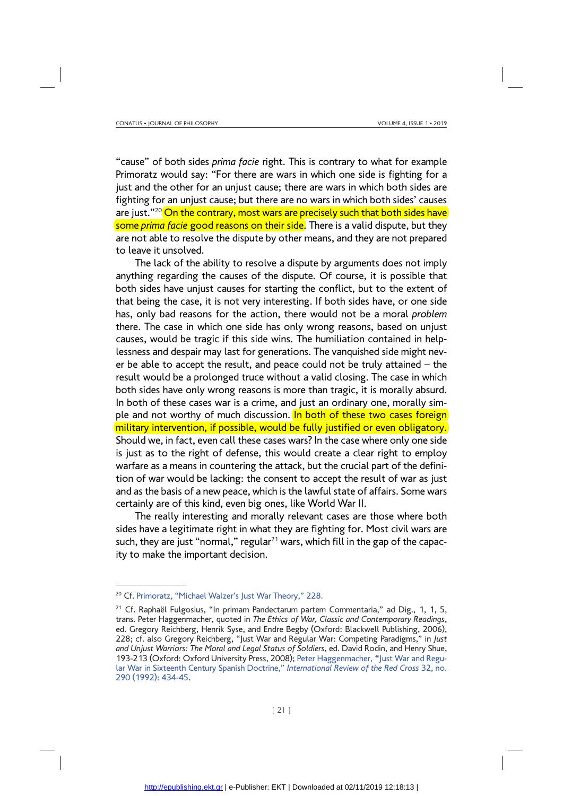"cause" of both sides *prima facie* right. This is contrary to what for example Primoratz would say: "For there are wars in which one side is fighting for a just and the other for an unjust cause; there are wars in which both sides are fighting for an unjust cause; but there are no wars in which both sides' causes are just."<sup>20</sup> On the contrary, most wars are precisely such that both sides have some *prima facie* good reasons on their side. There is a valid dispute, but they are not able to resolve the dispute by other means, and they are not prepared to leave it unsolved.

The lack of the ability to resolve a dispute by arguments does not imply anything regarding the causes of the dispute. Of course, it is possible that both sides have unjust causes for starting the conflict, but to the extent of that being the case, it is not very interesting. If both sides have, or one side has, only bad reasons for the action, there would not be a moral *problem*  there. The case in which one side has only wrong reasons, based on unjust causes, would be tragic if this side wins. The humiliation contained in helplessness and despair may last for generations. The vanquished side might never be able to accept the result, and peace could not be truly attained – the result would be a prolonged truce without a valid closing. The case in which both sides have only wrong reasons is more than tragic, it is morally absurd. In both of these cases war is a crime, and just an ordinary one, morally simple and not worthy of much discussion. In both of these two cases foreign military intervention, if possible, would be fully justified or even obligatory. Should we, in fact, even call these cases wars? In the case where only one side is just as to the right of defense, this would create a clear right to employ warfare as a means in countering the attack, but the crucial part of the definition of war would be lacking: the consent to accept the result of war as just and as the basis of a new peace, which is the lawful state of affairs. Some wars certainly are of this kind, even big ones, like World War II.

The really interesting and morally relevant cases are those where both sides have a legitimate right in what they are fighting for. Most civil wars are such, they are just "normal," regular $21$  wars, which fill in the gap of the capacity to make the important decision.

<sup>20</sup> Cf. Primoratz, "Michael Walzer's Just War Theory," 228.

 $21$  Cf. Raphaël Fulgosius, "In primam Pandectarum partem Commentaria," ad Dig., 1, 1, 5, trans. Peter Haggenmacher, quoted in *The Ethics of War, Classic and Contemporary Readings*, ed. Gregory Reichberg, Henrik Syse, and Endre Begby (Oxford: Blackwell Publishing, 2006), 228; cf. also Gregory Reichberg, "Just War and Regular War: Competing Paradigms," in *Just and Unjust Warriors: The Moral and Legal Status of Soldiers*, ed. David Rodin, and Henry Shue, 193-213 (Oxford: Oxford University Press, 2008); Peter Haggenmacher, **"**Just War and Regular War in Sixteenth Century Spanish Doctrine," *International Review of the Red Cross* 32, no. 290 (1992): 434-45.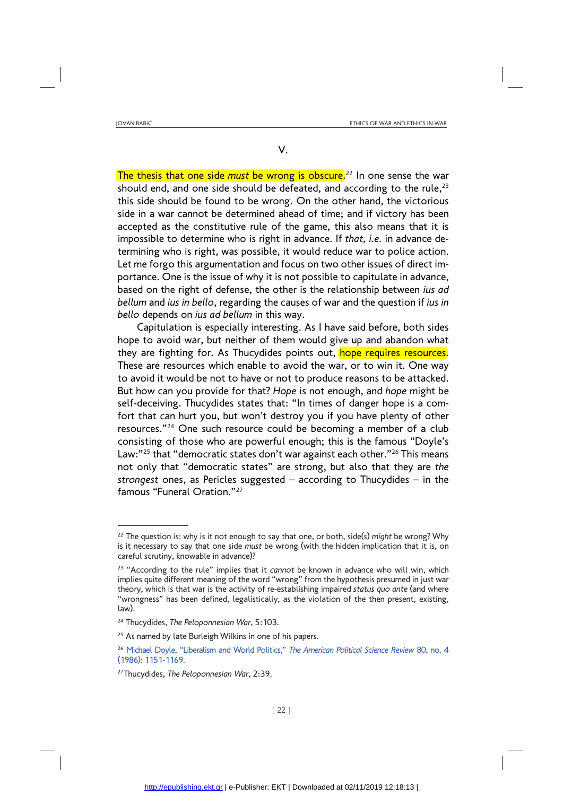V.

The thesis that one side *must* be wrong is obscure.<sup>22</sup> In one sense the war should end, and one side should be defeated, and according to the rule, $23$ this side should be found to be wrong. On the other hand, the victorious side in a war cannot be determined ahead of time; and if victory has been accepted as the constitutive rule of the game, this also means that it is impossible to determine who is right in advance. If *that, i.e.* in advance determining who is right, was possible, it would reduce war to police action. Let me forgo this argumentation and focus on two other issues of direct importance. One is the issue of why it is not possible to capitulate in advance, based on the right of defense, the other is the relationship between *ius ad bellum* and *ius in bello*, regarding the causes of war and the question if *ius in bello* depends on *ius ad bellum* in this way.

Capitulation is especially interesting. As I have said before, both sides hope to avoid war, but neither of them would give up and abandon what they are fighting for. As Thucydides points out, hope requires resources. These are resources which enable to avoid the war, or to win it. One way to avoid it would be not to have or not to produce reasons to be attacked. But how can you provide for that? *Hope* is not enough, and *hope* might be self-deceiving. Thucydides states that: "In times of danger hope is a comfort that can hurt you, but won't destroy you if you have plenty of other resources."24 One such resource could be becoming a member of a club consisting of those who are powerful enough; this is the famous "Doyle's Law:"<sup>25</sup> that "democratic states don't war against each other."<sup>26</sup> This means not only that "democratic states" are strong, but also that they are *the strongest* ones, as Pericles suggested – according to Thucydides – in the famous "Funeral Oration."27

<sup>22</sup> The question is: why is it not enough to say that one, or both, side(s) *might* be wrong? Why is it necessary to say that one side *must* be wrong (with the hidden implication that it is, on careful scrutiny, knowable in advance)?

<sup>23 &</sup>quot;According to the rule" implies that it *cannot* be known in advance who will win, which implies quite different meaning of the word "wrong" from the hypothesis presumed in just war theory, which is that war is the activity of re-establishing impaired *status quo ante* (and where "wrongness" has been defined, legalistically, as the violation of the then present, existing, law).

<sup>24</sup> Thucydides, *The Peloponnesian War*, 5:103.

<sup>&</sup>lt;sup>25</sup> As named by late Burleigh Wilkins in one of his papers.

<sup>26</sup> Michael Doyle, "Liberalism and World Politics," *The American Political Science Review* 80, no. 4 (1986): 1151-1169.

<sup>27</sup>Thucydides, *The Peloponnesian War*, 2:39.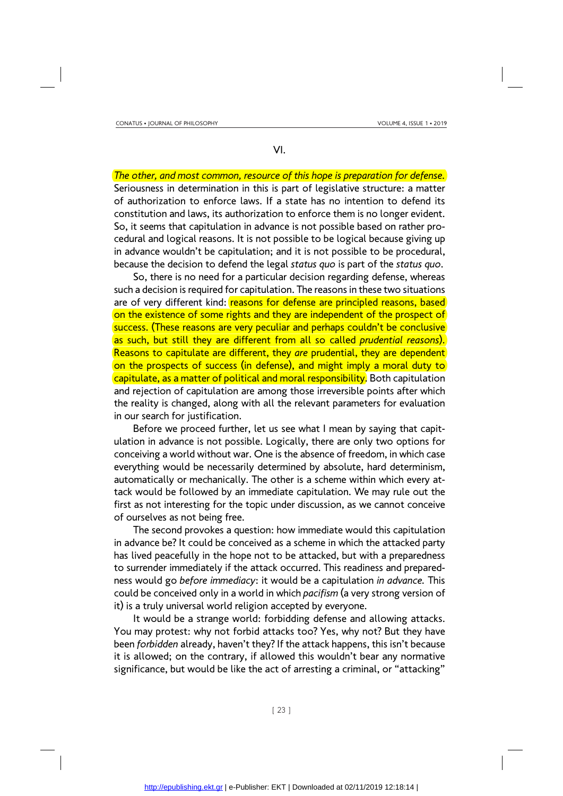VI.

*The other, and most common, resource of this hope is preparation for defense.*  Seriousness in determination in this is part of legislative structure: a matter of authorization to enforce laws. If a state has no intention to defend its constitution and laws, its authorization to enforce them is no longer evident. So, it seems that capitulation in advance is not possible based on rather procedural and logical reasons. It is not possible to be logical because giving up in advance wouldn't be capitulation; and it is not possible to be procedural, because the decision to defend the legal *status quo* is part of the *status quo*.

So, there is no need for a particular decision regarding defense, whereas such a decision is required for capitulation. The reasons in these two situations are of very different kind: reasons for defense are principled reasons, based on the existence of some rights and they are independent of the prospect of success. (These reasons are very peculiar and perhaps couldn't be conclusive as such, but still they are different from all so called *prudential reasons*). Reasons to capitulate are different, they *are* prudential, they are dependent on the prospects of success (in defense), and might imply a moral duty to capitulate, as a matter of political and moral responsibility. Both capitulation and rejection of capitulation are among those irreversible points after which the reality is changed, along with all the relevant parameters for evaluation in our search for justification.

Before we proceed further, let us see what I mean by saying that capitulation in advance is not possible. Logically, there are only two options for conceiving a world without war. One is the absence of freedom, in which case everything would be necessarily determined by absolute, hard determinism, automatically or mechanically. The other is a scheme within which every attack would be followed by an immediate capitulation. We may rule out the first as not interesting for the topic under discussion, as we cannot conceive of ourselves as not being free.

The second provokes a question: how immediate would this capitulation in advance be? It could be conceived as a scheme in which the attacked party has lived peacefully in the hope not to be attacked, but with a preparedness to surrender immediately if the attack occurred. This readiness and preparedness would go *before immediacy*: it would be a capitulation *in advance.* This could be conceived only in a world in which *pacifism* (a very strong version of it) is a truly universal world religion accepted by everyone.

It would be a strange world: forbidding defense and allowing attacks. You may protest: why not forbid attacks too? Yes, why not? But they have been *forbidden* already, haven't they? If the attack happens, this isn't because it is allowed; on the contrary, if allowed this wouldn't bear any normative significance, but would be like the act of arresting a criminal, or "attacking"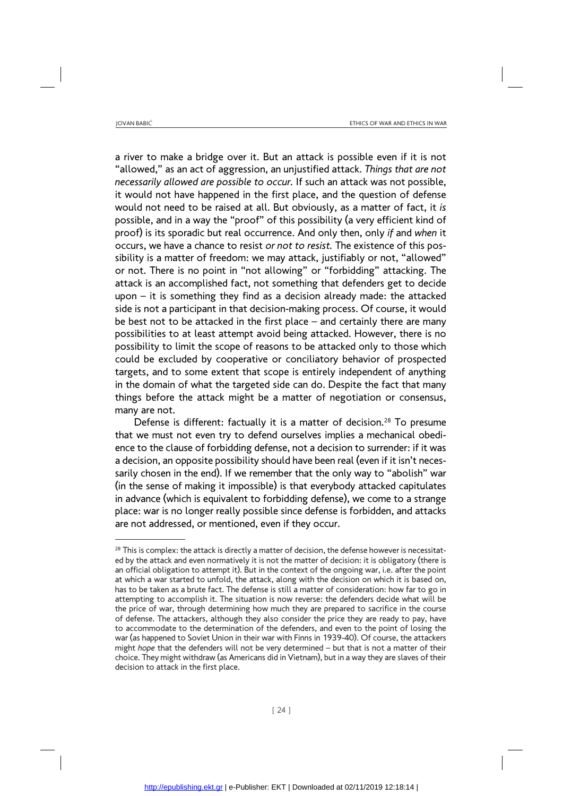a river to make a bridge over it. But an attack is possible even if it is not "allowed," as an act of aggression, an unjustified attack. *Things that are not necessarily allowed are possible to occur.* If such an attack was not possible, it would not have happened in the first place, and the question of defense would not need to be raised at all. But obviously, as a matter of fact, it *is* possible, and in a way the "proof" of this possibility (a very efficient kind of proof) is its sporadic but real occurrence. And only then, only *if* and *when* it occurs, we have a chance to resist *or not to resist.* The existence of this possibility is a matter of freedom: we may attack, justifiably or not, "allowed" or not. There is no point in "not allowing" or "forbidding" attacking. The attack is an accomplished fact, not something that defenders get to decide upon – it is something they find as a decision already made: the attacked side is not a participant in that decision-making process. Of course, it would be best not to be attacked in the first place – and certainly there are many possibilities to at least attempt avoid being attacked. However, there is no possibility to limit the scope of reasons to be attacked only to those which could be excluded by cooperative or conciliatory behavior of prospected targets, and to some extent that scope is entirely independent of anything in the domain of what the targeted side can do. Despite the fact that many things before the attack might be a matter of negotiation or consensus, many are not.

Defense is different: factually it is a matter of decision.<sup>28</sup> To presume that we must not even try to defend ourselves implies a mechanical obedience to the clause of forbidding defense, not a decision to surrender: if it was a decision, an opposite possibility should have been real (even if it isn't necessarily chosen in the end). If we remember that the only way to "abolish" war (in the sense of making it impossible) is that everybody attacked capitulates in advance (which is equivalent to forbidding defense), we come to a strange place: war is no longer really possible since defense is forbidden, and attacks are not addressed, or mentioned, even if they occur.

<sup>&</sup>lt;sup>28</sup> This is complex: the attack is directly a matter of decision, the defense however is necessitated by the attack and even normatively it is not the matter of decision: it is obligatory (there is an official obligation to attempt it). But in the context of the ongoing war, i.e. after the point at which a war started to unfold, the attack, along with the decision on which it is based on, has to be taken as a brute fact. The defense is still a matter of consideration: how far to go in attempting to accomplish it. The situation is now reverse: the defenders decide what will be the price of war, through determining how much they are prepared to sacrifice in the course of defense. The attackers, although they also consider the price they are ready to pay, have to accommodate to the determination of the defenders, and even to the point of losing the war (as happened to Soviet Union in their war with Finns in 1939-40). Of course, the attackers might *hope* that the defenders will not be very determined – but that is not a matter of their choice. They might withdraw (as Americans did in Vietnam), but in a way they are slaves of their decision to attack in the first place.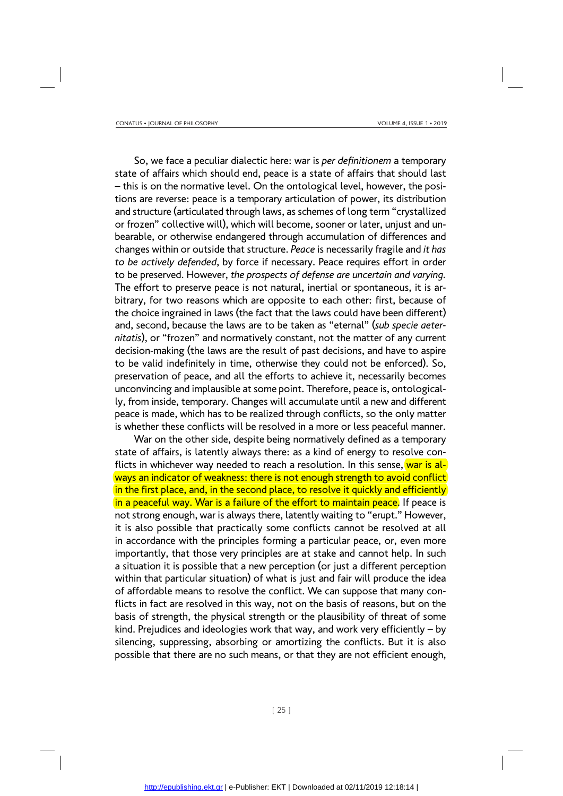So, we face a peculiar dialectic here: war is *per definitionem* a temporary state of affairs which should end, peace is a state of affairs that should last – this is on the normative level. On the ontological level, however, the positions are reverse: peace is a temporary articulation of power, its distribution and structure (articulated through laws, as schemes of long term "crystallized or frozen" collective will), which will become, sooner or later, unjust and unbearable, or otherwise endangered through accumulation of differences and changes within or outside that structure. *Peace* is necessarily fragile and *it has to be actively defended*, by force if necessary. Peace requires effort in order to be preserved. However, *the prospects of defense are uncertain and varying.* The effort to preserve peace is not natural, inertial or spontaneous, it is arbitrary, for two reasons which are opposite to each other: first, because of the choice ingrained in laws (the fact that the laws could have been different) and, second, because the laws are to be taken as "eternal" (*sub specie aeternitatis*), or "frozen" and normatively constant, not the matter of any current decision-making (the laws are the result of past decisions, and have to aspire to be valid indefinitely in time, otherwise they could not be enforced). So, preservation of peace, and all the efforts to achieve it, necessarily becomes unconvincing and implausible at some point. Therefore, peace is, ontologically, from inside, temporary. Changes will accumulate until a new and different peace is made, which has to be realized through conflicts, so the only matter is whether these conflicts will be resolved in a more or less peaceful manner.

War on the other side, despite being normatively defined as a temporary state of affairs, is latently always there: as a kind of energy to resolve conflicts in whichever way needed to reach a resolution. In this sense, war is always an indicator of weakness: there is not enough strength to avoid conflict in the first place, and, in the second place, to resolve it quickly and efficiently in a peaceful way. War is a failure of the effort to maintain peace. If peace is not strong enough, war is always there, latently waiting to "erupt." However, it is also possible that practically some conflicts cannot be resolved at all in accordance with the principles forming a particular peace, or, even more importantly, that those very principles are at stake and cannot help. In such a situation it is possible that a new perception (or just a different perception within that particular situation) of what is just and fair will produce the idea of affordable means to resolve the conflict. We can suppose that many conflicts in fact are resolved in this way, not on the basis of reasons, but on the basis of strength, the physical strength or the plausibility of threat of some kind. Prejudices and ideologies work that way, and work very efficiently – by silencing, suppressing, absorbing or amortizing the conflicts. But it is also possible that there are no such means, or that they are not efficient enough,

[ 25 ]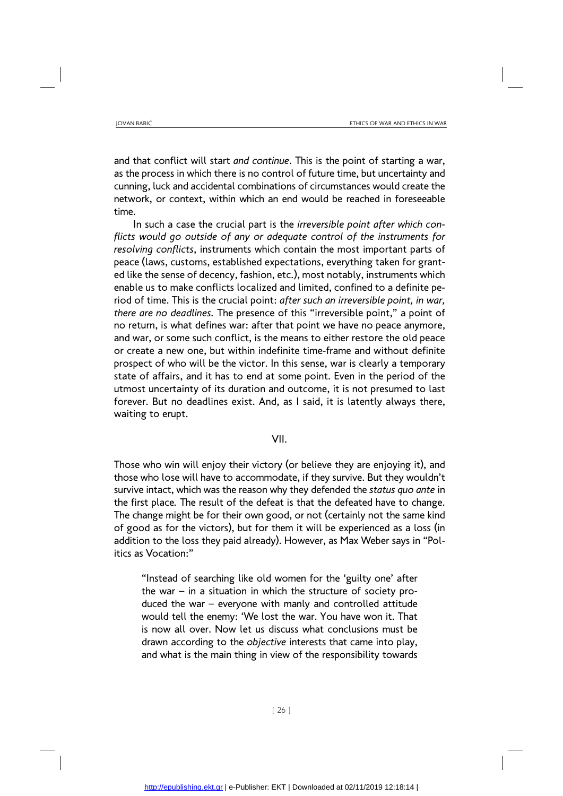and that conflict will start *and continue*. This is the point of starting a war, as the process in which there is no control of future time, but uncertainty and cunning, luck and accidental combinations of circumstances would create the network, or context, within which an end would be reached in foreseeable time.

In such a case the crucial part is the *irreversible point after which conflicts would go outside of any or adequate control of the instruments for resolving conflicts*, instruments which contain the most important parts of peace (laws, customs, established expectations, everything taken for granted like the sense of decency, fashion, etc.), most notably, instruments which enable us to make conflicts localized and limited, confined to a definite period of time. This is the crucial point: *after such an irreversible point, in war, there are no deadlines.* The presence of this "irreversible point," a point of no return, is what defines war: after that point we have no peace anymore, and war, or some such conflict, is the means to either restore the old peace or create a new one, but within indefinite time-frame and without definite prospect of who will be the victor. In this sense, war is clearly a temporary state of affairs, and it has to end at some point. Even in the period of the utmost uncertainty of its duration and outcome, it is not presumed to last forever. But no deadlines exist. And, as I said, it is latently always there, waiting to erupt.

### VII.

Those who win will enjoy their victory (or believe they are enjoying it), and those who lose will have to accommodate, if they survive. But they wouldn't survive intact, which was the reason why they defended the *status quo ante* in the first place*.* The result of the defeat is that the defeated have to change. The change might be for their own good, or not (certainly not the same kind of good as for the victors), but for them it will be experienced as a loss (in addition to the loss they paid already). However, as Max Weber says in "Politics as Vocation:"

"Instead of searching like old women for the 'guilty one' after the war  $-$  in a situation in which the structure of society produced the war – everyone with manly and controlled attitude would tell the enemy: 'We lost the war. You have won it. That is now all over. Now let us discuss what conclusions must be drawn according to the *objective* interests that came into play, and what is the main thing in view of the responsibility towards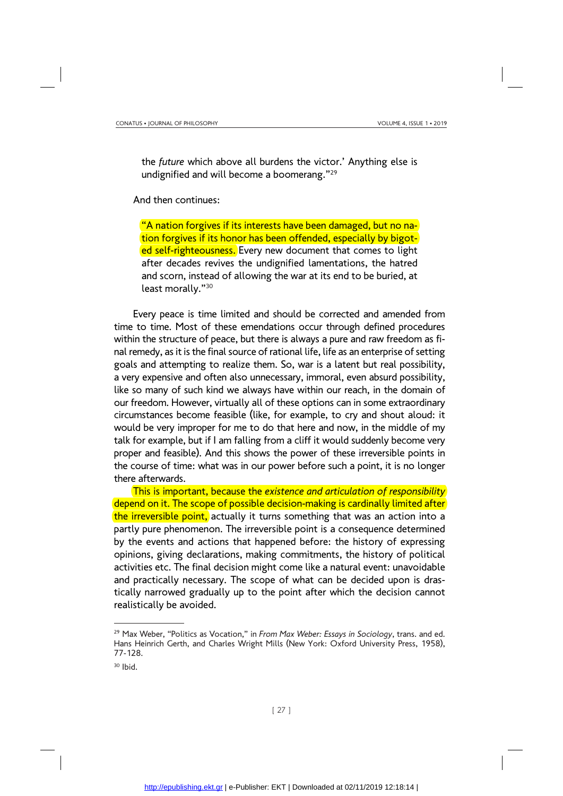the *future* which above all burdens the victor.' Anything else is undignified and will become a boomerang."29

And then continues:

"A nation forgives if its interests have been damaged, but no nation forgives if its honor has been offended, especially by bigoted self-righteousness. Every new document that comes to light after decades revives the undignified lamentations, the hatred and scorn, instead of allowing the war at its end to be buried, at least morally."30

Every peace is time limited and should be corrected and amended from time to time. Most of these emendations occur through defined procedures within the structure of peace, but there is always a pure and raw freedom as final remedy, as it is the final source of rational life, life as an enterprise of setting goals and attempting to realize them. So, war is a latent but real possibility, a very expensive and often also unnecessary, immoral, even absurd possibility, like so many of such kind we always have within our reach, in the domain of our freedom. However, virtually all of these options can in some extraordinary circumstances become feasible (like, for example, to cry and shout aloud: it would be very improper for me to do that here and now, in the middle of my talk for example, but if I am falling from a cliff it would suddenly become very proper and feasible). And this shows the power of these irreversible points in the course of time: what was in our power before such a point, it is no longer there afterwards.

This is important, because the *existence and articulation of responsibility* depend on it. The scope of possible decision-making is cardinally limited after the irreversible point, actually it turns something that was an action into a partly pure phenomenon. The irreversible point is a consequence determined by the events and actions that happened before: the history of expressing opinions, giving declarations, making commitments, the history of political activities etc. The final decision might come like a natural event: unavoidable and practically necessary. The scope of what can be decided upon is drastically narrowed gradually up to the point after which the decision cannot realistically be avoided.

<sup>29</sup> Max Weber, "Politics as Vocation," in *From Max Weber: Essays in Sociology*, trans. and ed. Hans Heinrich Gerth, and Charles Wright Mills (New York: Oxford University Press, 1958), 77-128.

 $30$  Ibid.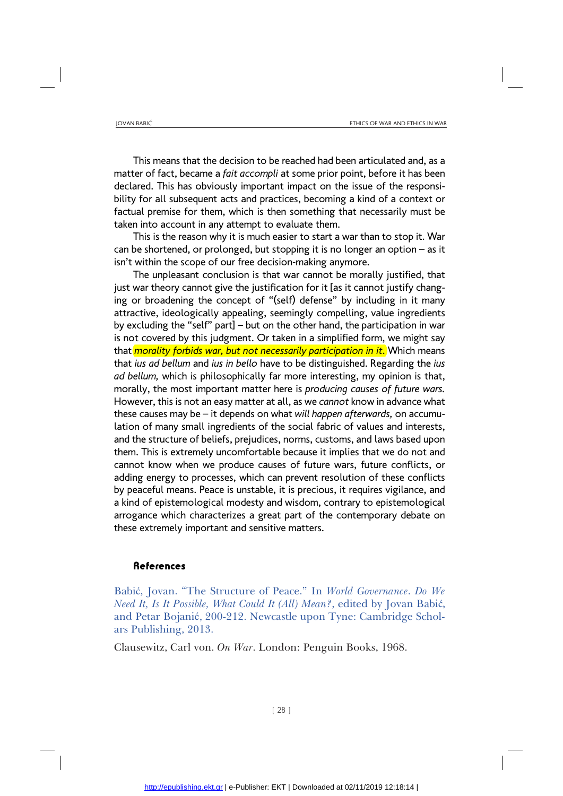This means that the decision to be reached had been articulated and, as a matter of fact, became a *fait accompli* at some prior point, before it has been declared. This has obviously important impact on the issue of the responsibility for all subsequent acts and practices, becoming a kind of a context or factual premise for them, which is then something that necessarily must be taken into account in any attempt to evaluate them.

This is the reason why it is much easier to start a war than to stop it. War can be shortened, or prolonged, but stopping it is no longer an option – as it isn't within the scope of our free decision-making anymore.

The unpleasant conclusion is that war cannot be morally justified, that just war theory cannot give the justification for it [as it cannot justify changing or broadening the concept of "(self) defense" by including in it many attractive, ideologically appealing, seemingly compelling, value ingredients by excluding the "self" part] – but on the other hand, the participation in war is not covered by this judgment. Or taken in a simplified form, we might say that *morality forbids war, but not necessarily participation in it*. Which means that *ius ad bellum* and *ius in bello* have to be distinguished. Regarding the *ius ad bellum,* which is philosophically far more interesting, my opinion is that, morally, the most important matter here is *producing causes of future wars.* However, this is not an easy matter at all, as we *cannot* know in advance what these causes may be – it depends on what *will happen afterwards,* on accumulation of many small ingredients of the social fabric of values and interests, and the structure of beliefs, prejudices, norms, customs, and laws based upon them. This is extremely uncomfortable because it implies that we do not and cannot know when we produce causes of future wars, future conflicts, or adding energy to processes, which can prevent resolution of these conflicts by peaceful means. Peace is unstable, it is precious, it requires vigilance, and a kind of epistemological modesty and wisdom, contrary to epistemological arrogance which characterizes a great part of the contemporary debate on these extremely important and sensitive matters.

#### References

Babić, Jovan. "The Structure of Peace." In *World Governance*. *Do We Need It, Is It Possible, What Could It (All) Mean?*, edited by Jovan Babić, and Petar Bojanić, 200-212. Newcastle upon Tyne: Cambridge Scholars Publishing, 2013.

Clausewitz, Carl von. *On War*. London: Penguin Books, 1968.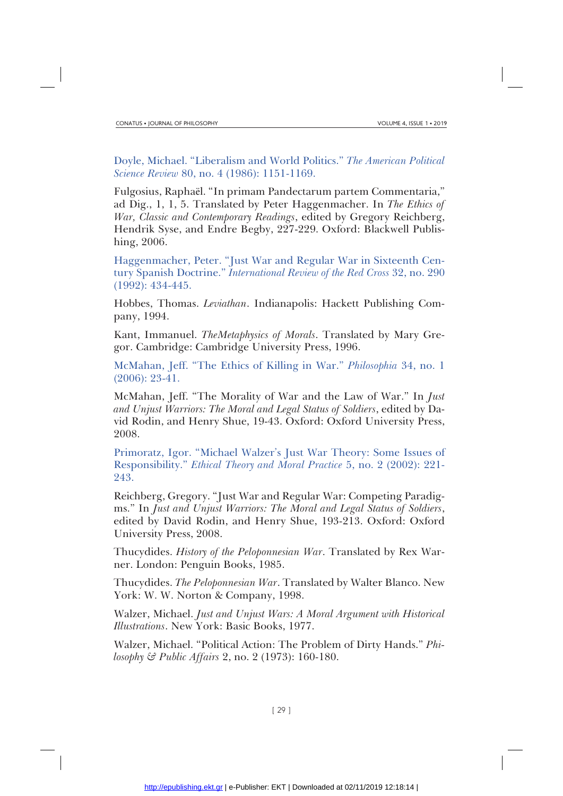Doyle, Michael. "Liberalism and World Politics." *The American Political Science Review* 80, no. 4 (1986): 1151-1169.

Fulgosius, Raphaël. "In primam Pandectarum partem Commentaria," ad Dig., 1, 1, 5. Translated by Peter Haggenmacher. In *The Ethics of War, Classic and Contemporary Readings*, edited by Gregory Reichberg, Hendrik Syse, and Endre Begby, 227-229. Oxford: Blackwell Publishing, 2006.

Haggenmacher, Peter. "Just War and Regular War in Sixteenth Century Spanish Doctrine." *International Review of the Red Cross* 32, no. 290 (1992): 434-445.

Hobbes, Thomas. *Leviathan*. Indianapolis: Hackett Publishing Company, 1994.

Kant, Immanuel. *TheMetaphysics of Morals*. Translated by Mary Gregor. Cambridge: Cambridge University Press, 1996.

McMahan, Jeff. "The Ethics of Killing in War." *Philosophia* 34, no. 1 (2006): 23-41.

McMahan, Jeff. "The Morality of War and the Law of War." In *Just and Unjust Warriors: The Moral and Legal Status of Soldiers*, edited by David Rodin, and Henry Shue, 19-43. Oxford: Oxford University Press, 2008.

Primoratz, Igor. "Michael Walzer's Just War Theory: Some Issues of Responsibility." *Ethical Theory and Moral Practice* 5, no. 2 (2002): 221- 243.

Reichberg, Gregory. "Just War and Regular War: Competing Paradigms." In *Just and Unjust Warriors: The Moral and Legal Status of Soldiers*, edited by David Rodin, and Henry Shue, 193-213. Oxford: Oxford University Press, 2008.

Thucydides. *History of the Peloponnesian War*. Translated by Rex Warner. London: Penguin Books, 1985.

Thucydides. *The Peloponnesian War*. Translated by Walter Blanco. New York: W. W. Norton & Company, 1998.

Walzer, Michael. *Just and Unjust Wars: A Moral Argument with Historical Illustrations*. New York: Basic Books, 1977.

Walzer, Michael. "Political Action: The Problem of Dirty Hands." *Philosophy & Public Affairs* 2, no. 2 (1973): 160-180.